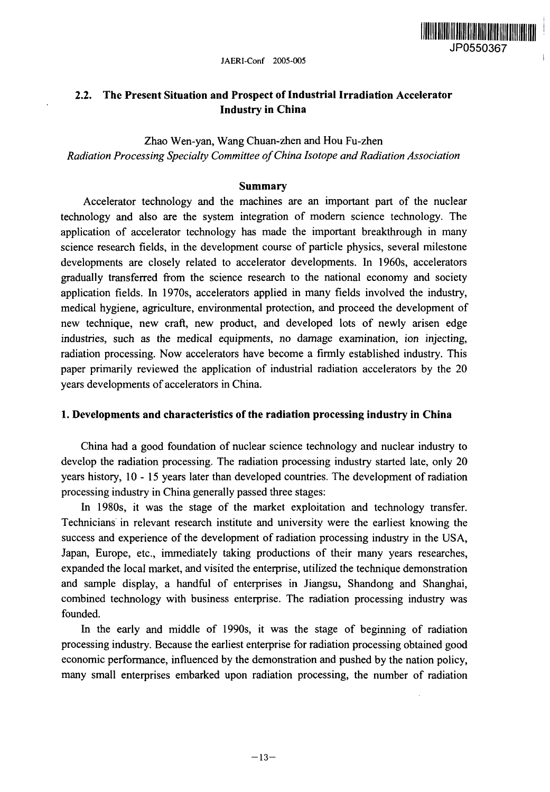

# **2.2. The Present Situation and Prospect of Industrial Irradiation Accelerator Industry in China**

Zhao Wen-yan, Wang Chuan-zhen and Hou Fu-zhen *Radiation Processing Specialty Committee of China Isotope and Radiation Association*

#### **Summary**

Accelerator technology and the machines are an important part of the nuclear technology and also are the system integration of modern science technology. The application of accelerator technology has made the important breakthrough in many science research fields, in the development course of particle physics, several milestone developments are closely related to accelerator developments. In 1960s, accelerators gradually transferred from the science research to the national economy and society application fields. In 1970s, accelerators applied in many fields involved the industry, medical hygiene, agriculture, environmental protection, and proceed the development of new technique, new craft, new product, and developed lots of newly arisen edge industries, such as the medical equipments, no damage examination, ion injecting, radiation processing. Now accelerators have become a firmly established industry. This paper primarily reviewed the application of industrial radiation accelerators by the 20 years developments of accelerators in China.

#### **1. Developments and characteristics of the radiation processing industry in China**

China had a good foundation of nuclear science technology and nuclear industry to develop the radiation processing. The radiation processing industry started late, only 20 years history, 10-15 years later than developed countries. The development of radiation processing industry in China generally passed three stages:

In 1980s, it was the stage of the market exploitation and technology transfer. Technicians in relevant research institute and university were the earliest knowing the success and experience of the development of radiation processing industry in the USA, Japan, Europe, etc., immediately taking productions of their many years researches, expanded the local market, and visited the enterprise, utilized the technique demonstration and sample display, a handful of enterprises in Jiangsu, Shandong and Shanghai, combined technology with business enterprise. The radiation processing industry was founded.

In the early and middle of 1990s, it was the stage of beginning of radiation processing industry. Because the earliest enterprise for radiation processing obtained good economic performance, influenced by the demonstration and pushed by the nation policy, many small enterprises embarked upon radiation processing, the number of radiation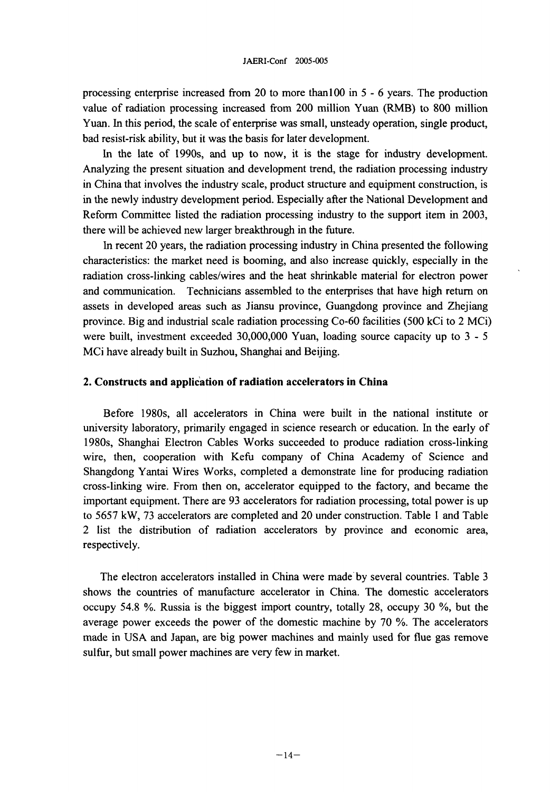processing enterprise increased from 20 to more than 100 in 5 - 6 years. The production value of radiation processing increased from 200 million Yuan (RMB) to 800 million Yuan. In this period, the scale of enterprise was small, unsteady operation, single product, bad resist-risk ability, but it was the basis for later development.

In the late of 1990s, and up to now, it is the stage for industry development. Analyzing the present situation and development trend, the radiation processing industry in China that involves the industry scale, product structure and equipment construction, is in the newly industry development period. Especially after the National Development and Reform Committee listed the radiation processing industry to the support item in 2003, there will be achieved new larger breakthrough in the future.

In recent 20 years, the radiation processing industry in China presented the following characteristics: the market need is booming, and also increase quickly, especially in the radiation cross-linking cables/wires and the heat shrinkable material for electron power and communication. Technicians assembled to the enterprises that have high return on assets in developed areas such as Jiansu province, Guangdong province and Zhejiang province. Big and industrial scale radiation processing Co-60 facilities (500 kCi to 2 MCi) were built, investment exceeded 30,000,000 Yuan, loading source capacity up to 3 - 5 MCi have already built in Suzhou, Shanghai and Beijing.

#### **2. Constructs and application of radiation accelerators in China**

Before 1980s, all accelerators in China were built in the national institute or university laboratory, primarily engaged in science research or education. In the early of 1980s, Shanghai Electron Cables Works succeeded to produce radiation cross-linking wire, then, cooperation with Kefu company of China Academy of Science and Shangdong Yantai Wires Works, completed a demonstrate line for producing radiation cross-linking wire. From then on, accelerator equipped to the factory, and became the important equipment. There are 93 accelerators for radiation processing, total power is up to 5657 kW, 73 accelerators are completed and 20 under construction. Table 1 and Table 2 list the distribution of radiation accelerators by province and economic area, respectively.

The electron accelerators installed in China were made by several countries. Table 3 shows the countries of manufacture accelerator in China. The domestic accelerators occupy 54.8 %. Russia is the biggest import country, totally 28, occupy 30 %, but the average power exceeds the power of the domestic machine by 70 %. The accelerators made in USA and Japan, are big power machines and mainly used for flue gas remove sulfur, but small power machines are very few in market.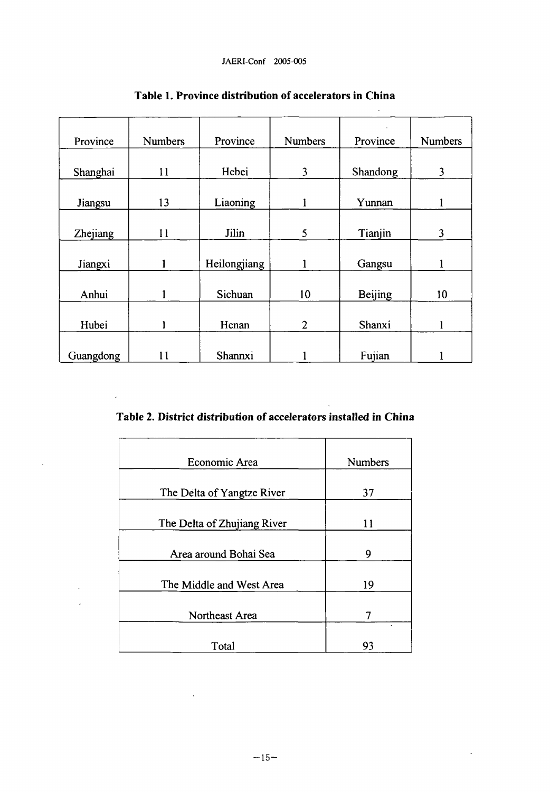| Province  | <b>Numbers</b> | Province     | <b>Numbers</b> | Province       | <b>Numbers</b> |
|-----------|----------------|--------------|----------------|----------------|----------------|
| Shanghai  | 11             | Hebei        | 3              | Shandong       | 3              |
| Jiangsu   | 13             | Liaoning     |                | Yunnan         |                |
| Zhejiang  | 11             | Jilin        | 5              | Tianjin        | 3              |
| Jiangxi   |                | Heilongjiang | 1              | Gangsu         |                |
| Anhui     |                | Sichuan      | 10             | <b>Beijing</b> | 10             |
| Hubei     |                | Henan        | $\overline{2}$ | Shanxi         |                |
| Guangdong | 11             | Shannxi      |                | Fujian         |                |

**Table 1. Province distribution of accelerators in China**

J.

**Table 2. District distribution of accelerators installed in China**

 $\mathbb{Z}^2$ 

 $\bar{\mathcal{A}}$ 

| Economic Area               | <b>Numbers</b> |
|-----------------------------|----------------|
| The Delta of Yangtze River  | 37             |
| The Delta of Zhujiang River | 11             |
| Area around Bohai Sea       | 9              |
| The Middle and West Area    | 19             |
| Northeast Area              |                |
| Total                       | 93             |

 $\sim$   $\sim$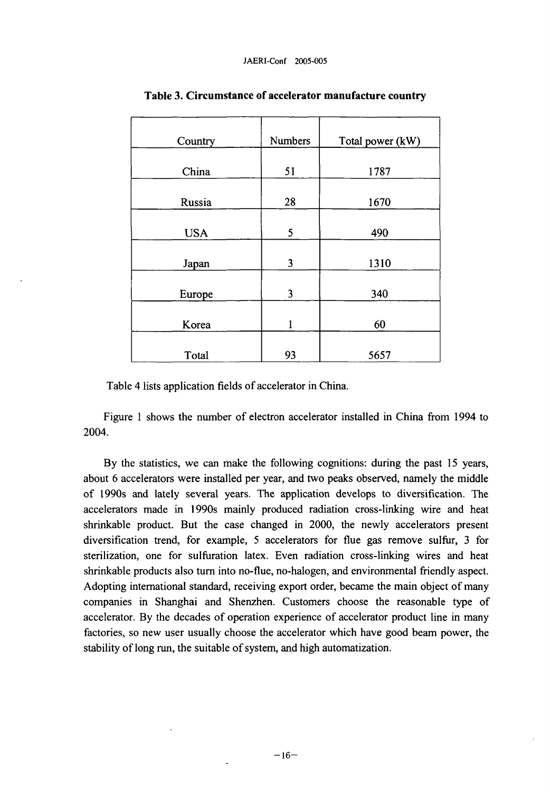| Country    | <b>Numbers</b> | Total power (kW) |
|------------|----------------|------------------|
| China      | 51             | 1787             |
| Russia     | 28             | 1670             |
| <b>USA</b> | 5              | 490              |
| Japan      | 3              | 1310             |
| Europe     | 3              | 340              |
| Korea      |                | 60               |
| Total      | 93             | 5657             |

### **Table 3. Circumstance of accelerator manufacture country**

Table 4 lists application fields of accelerator in China.

Figure 1 shows the number of electron accelerator installed in China from 1994 to 2004.

By the statistics, we can make the following cognitions: during the past 15 years, about 6 accelerators were installed per year, and two peaks observed, namely the middle of 1990s and lately several years. The application develops to diversification. The accelerators made in 1990s mainly produced radiation cross-linking wire and heat shrinkable product. But the case changed in 2000, the newly accelerators present diversification trend, for example, 5 accelerators for flue gas remove sulfur, 3 for sterilization, one for sulfuration latex. Even radiation cross-linking wires and heat shrinkable products also turn into no-flue, no-halogen, and environmental friendly aspect. Adopting international standard, receiving export order, became the main object of many companies in Shanghai and Shenzhen. Customers choose the reasonable type of accelerator. By the decades of operation experience of accelerator product line in many factories, so new user usually choose the accelerator which have good beam power, the stability of long run, the suitable of system, and high automatization.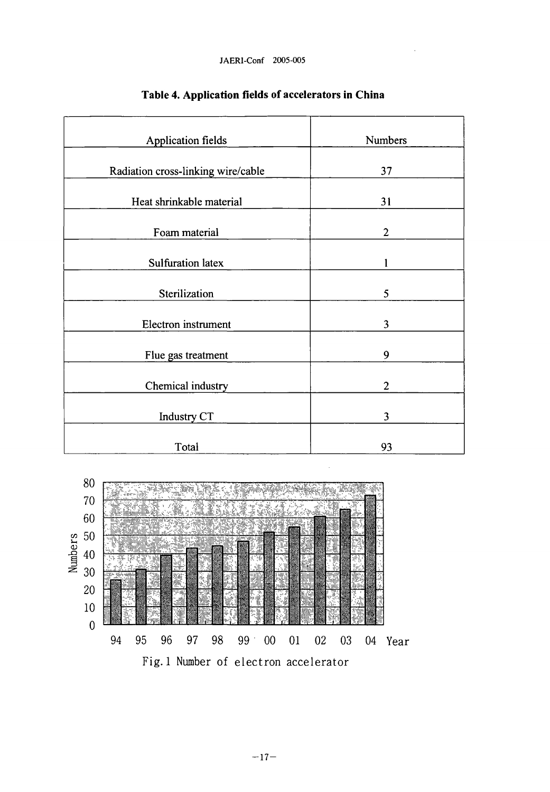JAERl-Conf 2005-005

| <b>Application fields</b>          | <b>Numbers</b> |  |
|------------------------------------|----------------|--|
| Radiation cross-linking wire/cable | 37             |  |
| Heat shrinkable material           | 31             |  |
| Foam material                      | $\overline{2}$ |  |
| <b>Sulfuration latex</b>           |                |  |
| Sterilization                      | 5              |  |
| Electron instrument                | 3              |  |
| Flue gas treatment                 | 9              |  |
| Chemical industry                  | 2              |  |
| <b>Industry CT</b>                 | 3              |  |
| Total                              | 93             |  |

# **Table 4. Application fields of accelerators in China**

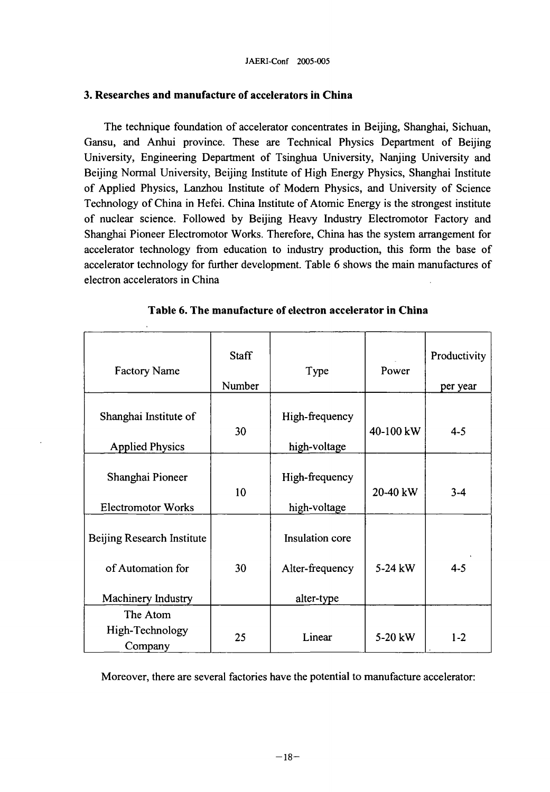## **3. Researches and manufacture of accelerators in China**

The technique foundation of accelerator concentrates in Beijing, Shanghai, Sichuan, Gansu, and Anhui province. These are Technical Physics Department of Beijing University, Engineering Department of Tsinghua University, Nanjing University and Beijing Normal University, Beijing Institute of High Energy Physics, Shanghai Institute of Applied Physics, Lanzhou Institute of Modern Physics, and University of Science Technology of China in Hefei. China Institute of Atomic Energy is the strongest institute of nuclear science. Followed by Beijing Heavy Industry Electromotor Factory and Shanghai Pioneer Electromotor Works. Therefore, China has the system arrangement for accelerator technology from education to industry production, this form the base of accelerator technology for further development. Table 6 shows the main manufactures of electron accelerators in China

| <b>Factory Name</b>                                                   | <b>Staff</b><br>Number | Type                                             | Power     | Productivity<br>per year |
|-----------------------------------------------------------------------|------------------------|--------------------------------------------------|-----------|--------------------------|
| Shanghai Institute of<br><b>Applied Physics</b>                       | 30                     | High-frequency<br>high-voltage                   | 40-100 kW | $4 - 5$                  |
| Shanghai Pioneer<br><b>Electromotor Works</b>                         | 10                     | High-frequency<br>high-voltage                   | 20-40 kW  | $3 - 4$                  |
| Beijing Research Institute<br>of Automation for<br>Machinery Industry | 30                     | Insulation core<br>Alter-frequency<br>alter-type | 5-24 kW   | $4 - 5$                  |
| The Atom<br>High-Technology<br>Company                                | 25                     | Linear                                           | 5-20 kW   | $1 - 2$                  |

**Table 6. The manufacture of electron accelerator in China**

Moreover, there are several factories have the potential to manufacture accelerator: